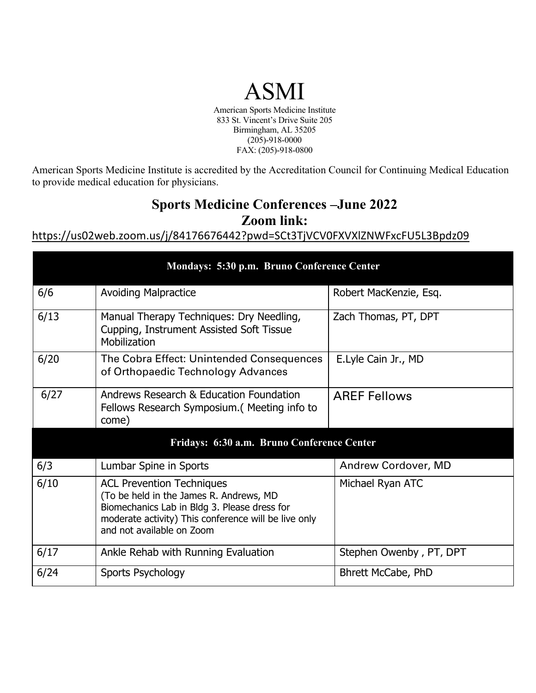## ASMI

American Sports Medicine Institute 833 St. Vincent's Drive Suite 205 Birmingham, AL 35205 (205)-918-0000 FAX: (205)-918-0800

American Sports Medicine Institute is accredited by the Accreditation Council for Continuing Medical Education to provide medical education for physicians.

## **Sports Medicine Conferences –June 2022 Zoom link:**

https://us02web.zoom.us/j/84176676442?pwd=SCt3TjVCV0FXVXlZNWFxcFU5L3Bpdz09

| Mondays: 5:30 p.m. Bruno Conference Center |                                                                                                                                                                                                                  |                            |
|--------------------------------------------|------------------------------------------------------------------------------------------------------------------------------------------------------------------------------------------------------------------|----------------------------|
| 6/6                                        | <b>Avoiding Malpractice</b>                                                                                                                                                                                      | Robert MacKenzie, Esq.     |
| 6/13                                       | Manual Therapy Techniques: Dry Needling,<br>Cupping, Instrument Assisted Soft Tissue<br>Mobilization                                                                                                             | Zach Thomas, PT, DPT       |
| 6/20                                       | The Cobra Effect: Unintended Consequences<br>of Orthopaedic Technology Advances                                                                                                                                  | E.Lyle Cain Jr., MD        |
| 6/27                                       | Andrews Research & Education Foundation<br>Fellows Research Symposium. (Meeting info to<br>come)                                                                                                                 | <b>AREF Fellows</b>        |
| Fridays: 6:30 a.m. Bruno Conference Center |                                                                                                                                                                                                                  |                            |
| 6/3                                        | Lumbar Spine in Sports                                                                                                                                                                                           | <b>Andrew Cordover, MD</b> |
| 6/10                                       | <b>ACL Prevention Techniques</b><br>(To be held in the James R. Andrews, MD<br>Biomechanics Lab in Bldg 3. Please dress for<br>moderate activity) This conference will be live only<br>and not available on Zoom | Michael Ryan ATC           |
| 6/17                                       | Ankle Rehab with Running Evaluation                                                                                                                                                                              | Stephen Owenby, PT, DPT    |
| 6/24                                       | Sports Psychology                                                                                                                                                                                                | Bhrett McCabe, PhD         |